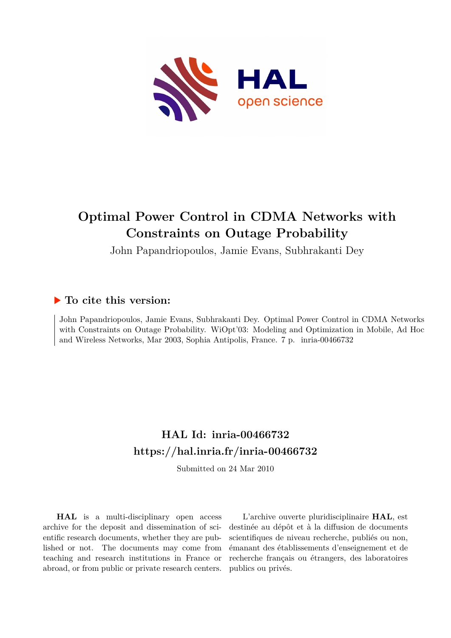

## **Optimal Power Control in CDMA Networks with Constraints on Outage Probability**

John Papandriopoulos, Jamie Evans, Subhrakanti Dey

### **To cite this version:**

John Papandriopoulos, Jamie Evans, Subhrakanti Dey. Optimal Power Control in CDMA Networks with Constraints on Outage Probability. WiOpt'03: Modeling and Optimization in Mobile, Ad Hoc and Wireless Networks, Mar 2003, Sophia Antipolis, France. 7 p. inria-00466732

## **HAL Id: inria-00466732 <https://hal.inria.fr/inria-00466732>**

Submitted on 24 Mar 2010

**HAL** is a multi-disciplinary open access archive for the deposit and dissemination of scientific research documents, whether they are published or not. The documents may come from teaching and research institutions in France or abroad, or from public or private research centers.

L'archive ouverte pluridisciplinaire **HAL**, est destinée au dépôt et à la diffusion de documents scientifiques de niveau recherche, publiés ou non, émanant des établissements d'enseignement et de recherche français ou étrangers, des laboratoires publics ou privés.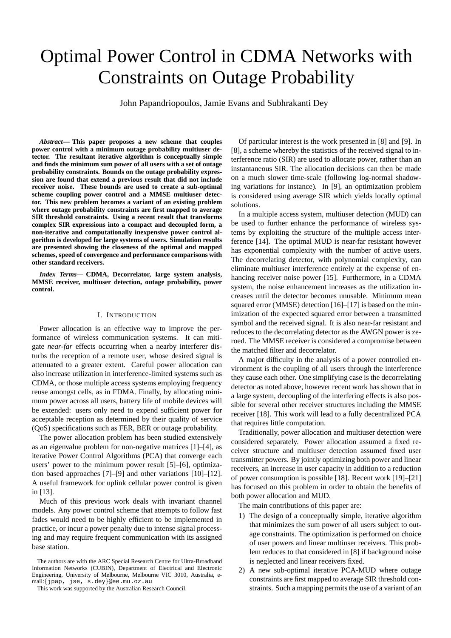# Optimal Power Control in CDMA Networks with Constraints on Outage Probability

John Papandriopoulos, Jamie Evans and Subhrakanti Dey

*Abstract***— This paper proposes a new scheme that couples power control with a minimum outage probability multiuser detector. The resultant iterative algorithm is conceptually simple and finds the minimum sum power of all users with a set of outage probability constraints. Bounds on the outage probability expression are found that extend a previous result that did not include receiver noise. These bounds are used to create a sub-optimal scheme coupling power control and a MMSE multiuser detector. This new problem becomes a variant of an existing problem where outage probability constraints are first mapped to average SIR threshold constraints. Using a recent result that transforms complex SIR expressions into a compact and decoupled form, a non-iterative and computationally inexpensive power control algorithm is developed for large systems of users. Simulation results are presented showing the closeness of the optimal and mapped schemes, speed of convergence and performance comparisons with other standard receivers.**

*Index Terms***— CDMA, Decorrelator, large system analysis, MMSE receiver, multiuser detection, outage probability, power control.**

#### I. INTRODUCTION

Power allocation is an effective way to improve the performance of wireless communication systems. It can mitigate *near-far* effects occurring when a nearby interferer disturbs the reception of a remote user, whose desired signal is attenuated to a greater extent. Careful power allocation can also increase utilization in interference-limited systems such as CDMA, or those multiple access systems employing frequency reuse amongst cells, as in FDMA. Finally, by allocating minimum power across all users, battery life of mobile devices will be extended: users only need to expend sufficient power for acceptable reception as determined by their quality of service (QoS) specifications such as FER, BER or outage probability.

The power allocation problem has been studied extensively as an eigenvalue problem for non-negative matrices [1]–[4], as iterative Power Control Algorithms (PCA) that converge each users' power to the minimum power result [5]–[6], optimization based approaches [7]–[9] and other variations [10]–[12]. A useful framework for uplink cellular power control is given in [13].

Much of this previous work deals with invariant channel models. Any power control scheme that attempts to follow fast fades would need to be highly efficient to be implemented in practice, or incur a power penalty due to intense signal processing and may require frequent communication with its assigned base station.

Of particular interest is the work presented in [8] and [9]. In [8], a scheme whereby the statistics of the received signal to interference ratio (SIR) are used to allocate power, rather than an instantaneous SIR. The allocation decisions can then be made on a much slower time-scale (following log-normal shadowing variations for instance). In [9], an optimization problem is considered using average SIR which yields locally optimal solutions.

In a multiple access system, multiuser detection (MUD) can be used to further enhance the performance of wireless systems by exploiting the structure of the multiple access interference [14]. The optimal MUD is near-far resistant however has exponential complexity with the number of active users. The decorrelating detector, with polynomial complexity, can eliminate multiuser interference entirely at the expense of enhancing receiver noise power [15]. Furthermore, in a CDMA system, the noise enhancement increases as the utilization increases until the detector becomes unusable. Minimum mean squared error (MMSE) detection [16]–[17] is based on the minimization of the expected squared error between a transmitted symbol and the received signal. It is also near-far resistant and reduces to the decorrelating detector as the AWGN power is zeroed. The MMSE receiver is considered a compromise between the matched filter and decorrelator.

A major difficulty in the analysis of a power controlled environment is the coupling of all users through the interference they cause each other. One simplifying case is the decorrelating detector as noted above, however recent work has shown that in a large system, decoupling of the interfering effects is also possible for several other receiver structures including the MMSE receiver [18]. This work will lead to a fully decentralized PCA that requires little computation.

Traditionally, power allocation and multiuser detection were considered separately. Power allocation assumed a fixed receiver structure and multiuser detection assumed fixed user transmitter powers. By jointly optimizing both power and linear receivers, an increase in user capacity in addition to a reduction of power consumption is possible [18]. Recent work [19]–[21] has focused on this problem in order to obtain the benefits of both power allocation and MUD.

The main contributions of this paper are:

- 1) The design of a conceptually simple, iterative algorithm that minimizes the sum power of all users subject to outage constraints. The optimization is performed on choice of user powers and linear multiuser receivers. This problem reduces to that considered in [8] if background noise is neglected and linear receivers fixed.
- 2) A new sub-optimal iterative PCA-MUD where outage constraints are first mapped to average SIR threshold constraints. Such a mapping permits the use of a variant of an

The authors are with the ARC Special Research Centre for Ultra-Broadband Information Networks (CUBIN), Department of Electrical and Electronic Engineering, University of Melbourne, Melbourne VIC 3010, Australia, email:{jpap, jse, s.dey}@ee.mu.oz.au

This work was supported by the Australian Research Council.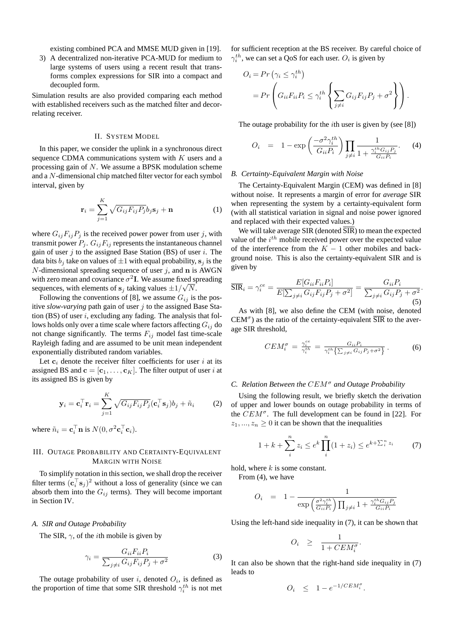existing combined PCA and MMSE MUD given in [19].

3) A decentralized non-iterative PCA-MUD for medium to large systems of users using a recent result that transforms complex expressions for SIR into a compact and decoupled form.

Simulation results are also provided comparing each method with established receivers such as the matched filter and decorrelating receiver.

#### II. SYSTEM MODEL

In this paper, we consider the uplink in a synchronous direct sequence CDMA communications system with  $K$  users and a processing gain of N. We assume a BPSK modulation scheme and a N-dimensional chip matched filter vector for each symbol interval, given by

$$
\mathbf{r}_{i} = \sum_{j=1}^{K} \sqrt{G_{ij} F_{ij} P_{j}} b_{j} \mathbf{s}_{j} + \mathbf{n}
$$
 (1)

where  $G_{ij}F_{ij}P_j$  is the received power power from user j, with transmit power  $P_j$ .  $G_{ij}F_{ij}$  represents the instantaneous channel gain of user  $j$  to the assigned Base Station (BS) of user  $i$ . The data bits  $b_i$  take on values of  $\pm 1$  with equal probability,  $s_i$  is the  $N$ -dimensional spreading sequence of user  $j$ , and n is AWGN with zero mean and covariance  $\sigma^2 I$ . We assume fixed spreading sequences, with elements of  $s_j$  taking values  $\pm 1/\sqrt{N}$ .

Following the conventions of [8], we assume  $G_{ij}$  is the positive *slow-varying* path gain of user j to the assigned Base Station (BS) of user  $i$ , excluding any fading. The analysis that follows holds only over a time scale where factors affecting  $G_{ij}$  do not change significantly. The terms  $F_{ij}$  model fast time-scale Rayleigh fading and are assumed to be unit mean independent exponentially distributed random variables.

Let  $c_i$  denote the receiver filter coefficients for user i at its assigned BS and  $\mathbf{c} = [\mathbf{c}_1, \dots, \mathbf{c}_K]$ . The filter output of user i at its assigned BS is given by

$$
\mathbf{y}_i = \mathbf{c}_i^{\top} \mathbf{r}_i = \sum_{j=1}^K \sqrt{G_{ij} F_{ij} P_j} (\mathbf{c}_i^{\top} \mathbf{s}_j) b_j + \tilde{n}_i \tag{2}
$$

where  $\tilde{n}_i = \mathbf{c}_i^{\top} \mathbf{n}$  is  $N(0, \sigma^2 \mathbf{c}_i^{\top} \mathbf{c}_i)$ .

#### III. OUTAGE PROBABILITY AND CERTAINTY-EQUIVALENT MARGIN WITH NOISE

To simplify notation in this section, we shall drop the receiver filter terms  $(c_i^{\top} s_j)^2$  without a loss of generality (since we can absorb them into the  $G_{ij}$  terms). They will become important in Section IV.

#### *A. SIR and Outage Probability*

The SIR,  $\gamma$ , of the *i*th mobile is given by

$$
\gamma_i = \frac{G_{ii} F_{ii} P_i}{\sum_{j \neq i} G_{ij} F_{ij} P_j + \sigma^2}
$$
(3)

The outage probability of user i, denoted  $O_i$ , is defined as the proportion of time that some SIR threshold  $\gamma_i^{th}$  is not met for sufficient reception at the BS receiver. By careful choice of  $\gamma_i^{th}$ , we can set a QoS for each user.  $O_i$  is given by

$$
O_i = Pr\left(\gamma_i \leq \gamma_i^{th}\right)
$$
  
= 
$$
Pr\left(G_{ii}F_{ii}P_i \leq \gamma_i^{th}\left\{\sum_{j\neq i}G_{ij}F_{ij}P_j + \sigma^2\right\}\right).
$$

The outage probability for the *i*th user is given by (see [8])

$$
O_i = 1 - \exp\left(\frac{-\sigma^2 \gamma_i^{th}}{G_{ii} P_i}\right) \prod_{j \neq i} \frac{1}{1 + \frac{\gamma_i^{th} G_{ij} P_j}{G_{ii} P_i}}.
$$
 (4)

#### *B. Certainty-Equivalent Margin with Noise*

The Certainty-Equivalent Margin (CEM) was defined in [8] without noise. It represents a margin of error for *average* SIR when representing the system by a certainty-equivalent form (with all statistical variation in signal and noise power ignored and replaced with their expected values.)

We will take average SIR (denoted  $\overline{SIR}$ ) to mean the expected value of the  $i^{th}$  mobile received power over the expected value of the interference from the  $K - 1$  other mobiles and background noise. This is also the certainty-equivalent SIR and is given by

$$
\overline{\text{SIR}}_i = \gamma_i^{ce} = \frac{E[G_{ii}F_{ii}P_i]}{E[\sum_{j\neq i} G_{ij}F_{ij}P_j + \sigma^2]} = \frac{G_{ii}P_i}{\sum_{j\neq i} G_{ij}P_j + \sigma^2}.
$$
\n(5)

As with [8], we also define the CEM (with noise, denoted  $CEM^{\sigma}$ ) as the ratio of the certainty-equivalent  $\overline{SIR}$  to the average SIR threshold,

$$
CEM_i^{\sigma} = \frac{\gamma_i^{ce}}{\gamma_i^{th}} = \frac{G_{ii}P_i}{\gamma_i^{th}\left\{\sum_{j\neq i} G_{ij}P_j + \sigma^2\right\}}.
$$
 (6)

#### *C. Relation Between the* CEM<sup>σ</sup> *and Outage Probability*

Using the following result, we briefly sketch the derivation of upper and lower bounds on outage probability in terms of the  $CEM^{\sigma}$ . The full development can be found in [22]. For  $z_1, ..., z_n \geq 0$  it can be shown that the inequalities

$$
1 + k + \sum_{i}^{n} z_i \le e^k \prod_{i}^{n} (1 + z_i) \le e^{k + \sum_{i}^{n} z_i}
$$
 (7)

hold, where  $k$  is some constant.

From (4), we have

$$
O_i = 1 - \frac{1}{\exp\left(\frac{\sigma^2 \gamma_i^{th}}{G_{ii} P_i}\right) \prod_{j \neq i} 1 + \frac{\gamma_i^{th} G_{ij} P_j}{G_{ii} P_i}}
$$

Using the left-hand side inequality in (7), it can be shown that

$$
O_i \geq \frac{1}{1 + CEM_i^{\sigma}}.
$$

It can also be shown that the right-hand side inequality in (7) leads to

$$
O_i \leq 1 - e^{-1/CEM_i^{\sigma}}.
$$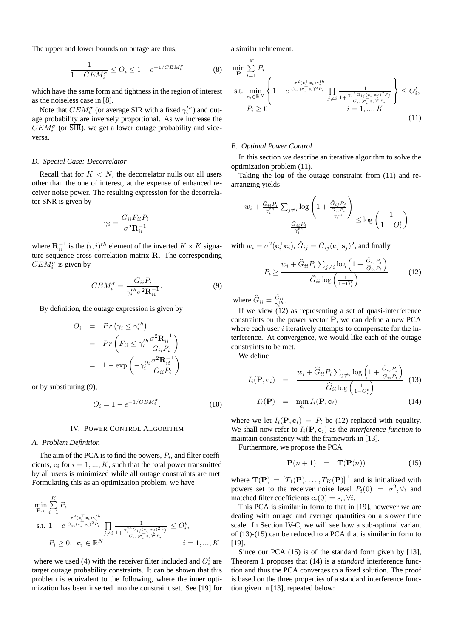The upper and lower bounds on outage are thus,

$$
\frac{1}{1 + CEM_i^{\sigma}} \le O_i \le 1 - e^{-1/CEM_i^{\sigma}}
$$
 (8)

which have the same form and tightness in the region of interest as the noiseless case in [8].

Note that  $CEM_i^{\sigma}$  (or average SIR with a fixed  $\gamma_i^{th}$ ) and outage probability are inversely proportional. As we increase the  $CEM_i^{\sigma}$  (or  $\overline{SIR}$ ), we get a lower outage probability and viceversa.

#### *D. Special Case: Decorrelator*

Recall that for  $K < N$ , the decorrelator nulls out all users other than the one of interest, at the expense of enhanced receiver noise power. The resulting expression for the decorrelator SNR is given by

$$
\gamma_i = \frac{G_{ii} F_{ii} P_i}{\sigma^2 \mathbf{R}_{ii}^{-1}}
$$

where  $\mathbf{R}_{ii}^{-1}$  is the  $(i, i)^{th}$  element of the inverted  $K \times K$  signature sequence cross-correlation matrix R. The corresponding  $CEM_i^{\sigma}$  is given by

$$
CEM_i^{\sigma} = \frac{G_{ii}P_i}{\gamma_i^{th}\sigma^2 \mathbf{R}_{ii}^{-1}}.
$$
\n(9)

By definition, the outage expression is given by

$$
O_i = Pr(\gamma_i \leq \gamma_i^{th})
$$
  
=  $Pr\left(F_{ii} \leq \gamma_i^{th} \frac{\sigma^2 \mathbf{R}_{ii}^{-1}}{G_{ii} P_i}\right)$   
=  $1 - \exp\left(-\gamma_i^{th} \frac{\sigma^2 \mathbf{R}_{ii}^{-1}}{G_{ii} P_i}\right)$ 

or by substituting (9),

$$
O_i = 1 - e^{-1/CEM_i^{\sigma}}.
$$
\n
$$
(10)
$$

#### IV. POWER CONTROL ALGORITHM

#### *A. Problem Definition*

The aim of the PCA is to find the powers,  $P_i$ , and filter coefficients,  $c_i$  for  $i = 1, ..., K$ , such that the total power transmitted by all users is minimized while all outage constraints are met. Formulating this as an optimization problem, we have

$$
\min_{\mathbf{P}, \mathbf{c}} \sum_{i=1}^{K} P_i
$$
\n
$$
\text{s.t. } 1 - e^{\frac{-\sigma^2(\mathbf{c}_i^\top \mathbf{c}_i) \gamma_i^{th}}{G_{ii}(\mathbf{c}_i^\top \mathbf{s}_i)^2 P_i}} \prod_{j \neq i} \frac{1}{1 + \frac{\gamma_i^{th} G_{ij}(\mathbf{c}_i^\top \mathbf{s}_j)^2 P_j}{G_{ii}(\mathbf{c}_i^\top \mathbf{s}_i)^2 P_i}} \le O_i^t,
$$
\n
$$
P_i \ge 0, \ \mathbf{c}_i \in \mathbb{R}^N \qquad i = 1, ..., K
$$

where we used (4) with the receiver filter included and  $O_i^t$  are target outage probability constraints. It can be shown that this problem is equivalent to the following, where the inner optimization has been inserted into the constraint set. See [19] for a similar refinement.

$$
\min_{\mathbf{P}} \sum_{i=1}^{K} P_i
$$
\n
$$
\text{s.t. } \min_{\mathbf{c}_i \in \mathbb{R}^N} \left\{ 1 - e^{\frac{-\sigma^2 (\mathbf{c}_i^\top \mathbf{c}_i) \gamma_i^{th}}{\sigma_{ii} (\mathbf{c}_i^\top \mathbf{s}_i)^2 P_i}} \prod_{j \neq i} \frac{1}{1 + \frac{\gamma_i^{th} G_{ij} (\mathbf{c}_i^\top \mathbf{s}_j)^2 P_j}{G_{ii} (\mathbf{c}_i^\top \mathbf{s}_i)^2 P_i}} \right\} \leq O_i^t,
$$
\n
$$
P_i \geq 0
$$
\n
$$
(11)
$$

#### *B. Optimal Power Control*

In this section we describe an iterative algorithm to solve the optimization problem (11).

Taking the log of the outage constraint from (11) and rearranging yields

$$
\frac{w_i + \frac{\tilde{G}_{ii}P_i}{\gamma_i^{th}}\sum_{j\neq i}\log\left(1 + \frac{\tilde{G}_{ij}P_j}{\frac{\tilde{G}_{ii}P_i}{\gamma_i^{th}}}\right)}{\frac{\tilde{G}_{ii}P_i}{\gamma_i^{th}}} \le \log\left(\frac{1}{1 - O_i^t}\right)
$$

with  $w_i = \sigma^2(\mathbf{c}_i^{\top}\mathbf{c}_i)$ ,  $\tilde{G}_{ij} = G_{ij}(\mathbf{c}_i^{\top}\mathbf{s}_j)^2$ , and finally

$$
P_i \ge \frac{w_i + \hat{G}_{ii} P_i \sum_{j \ne i} \log \left(1 + \frac{\tilde{G}_{ij} P_j}{\tilde{G}_{ii} P_i}\right)}{\hat{G}_{ii} \log \left(\frac{1}{1 - O_i^t}\right)}
$$
(12)

where  $\widehat{G}_{ii} = \frac{\tilde{G}_{ii}}{\gamma_i^{th}}$ .

If we view (12) as representing a set of quasi-interference constraints on the power vector P, we can define a new PCA where each user  $i$  iteratively attempts to compensate for the interference. At convergence, we would like each of the outage constraints to be met.

We define

$$
I_i(\mathbf{P}, \mathbf{c}_i) = \frac{w_i + \widehat{G}_{ii} P_i \sum_{j \neq i} \log \left(1 + \frac{\tilde{G}_{ij} P_j}{\hat{G}_{ii} P_i}\right)}{\widehat{G}_{ii} \log \left(\frac{1}{1 - O_i^t}\right)}
$$
(13)  

$$
T_i(\mathbf{P}) = \min_{\mathbf{c}_i} I_i(\mathbf{P}, \mathbf{c}_i)
$$
(14)

where we let  $I_i(\mathbf{P}, \mathbf{c}_i) = P_i$  be (12) replaced with equality. We shall now refer to  $I_i(\mathbf{P}, \mathbf{c}_i)$  as the *interference function* to maintain consistency with the framework in [13].

Furthermore, we propose the PCA

$$
\mathbf{P}(n+1) = \mathbf{T}(\mathbf{P}(n)) \tag{15}
$$

where  $\mathbf{T}(\mathbf{P}) = [T_1(\mathbf{P}), \dots, T_K(\mathbf{P})]^\top$  and is initialized with powers set to the receiver noise level  $P_i(0) = \sigma^2, \forall i$  and matched filter coefficients  $\mathbf{c}_i(0) = \mathbf{s}_i, \forall i$ .

This PCA is similar in form to that in [19], however we are dealing with outage and average quantities on a slower time scale. In Section IV-C, we will see how a sub-optimal variant of (13)-(15) can be reduced to a PCA that is similar in form to [19].

Since our PCA (15) is of the standard form given by [13], Theorem 1 proposes that (14) is a *standard* interference function and thus the PCA converges to a fixed solution. The proof is based on the three properties of a standard interference function given in [13], repeated below: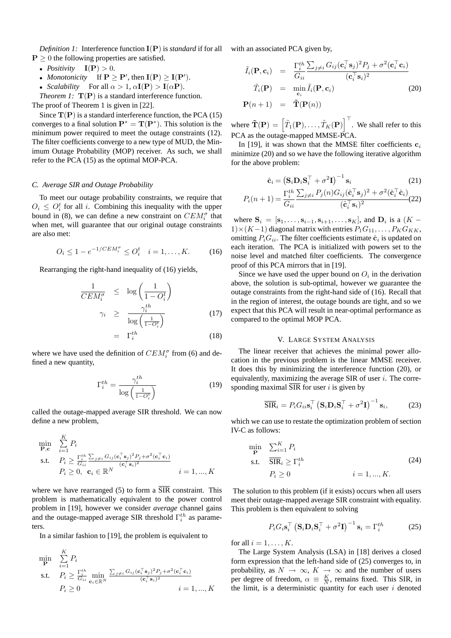*Definition 1:* Interference function I(P) is *standard* if for all  $P > 0$  the following properties are satisfied.

- *Positivity*  $I(P) > 0$ .
- *Monotonicity* If  $P \ge P'$ , then  $I(P) \ge I(P')$ .
- *Scalability* For all  $\alpha > 1$ ,  $\alpha$ **I**(**P**) > **I**( $\alpha$ **P**).

*Theorem 1:*  $T(P)$  is a standard interference function.

The proof of Theorem 1 is given in [22].

Since  $T(P)$  is a standard interference function, the PCA (15) converges to a final solution  $\mathbf{P}^* = \mathbf{T}(\mathbf{P}^*)$ . This solution is the minimum power required to meet the outage constraints (12). The filter coefficients converge to a new type of MUD, the Minimum Outage Probability (MOP) receiver. As such, we shall refer to the PCA (15) as the optimal MOP-PCA.

#### *C. Average SIR and Outage Probability*

To meet our outage probability constraints, we require that  $O_i \n\leq O_i^t$  for all i. Combining this inequality with the upper bound in (8), we can define a new constraint on  $CEM_i^{\sigma}$  that when met, will guarantee that our original outage constraints are also met:

$$
O_i \le 1 - e^{-1/CEM_i^{\sigma}} \le O_i^t \quad i = 1, ..., K. \tag{16}
$$

Rearranging the right-hand inequality of (16) yields,

$$
\frac{1}{CEM_i^{\sigma}} \leq \log\left(\frac{1}{1 - O_i^t}\right)
$$
\n
$$
\gamma_i \geq \frac{\gamma_i^{th}}{\log\left(\frac{1}{1 - O_i^t}\right)} \tag{17}
$$
\n
$$
= \Gamma_i^{th} \tag{18}
$$

where we have used the definition of  $CEM_i^{\sigma}$  from (6) and defined a new quantity,

$$
\Gamma_i^{th} = \frac{\gamma_i^{th}}{\log\left(\frac{1}{1 - O_i^t}\right)}\tag{19}
$$

called the outage-mapped average SIR threshold. We can now define a new problem,

$$
\begin{array}{ll}\n\min \limits_{\mathbf{P}, \mathbf{c}} & \sum_{i=1}^{K} P_i \\
\text{s.t.} & P_i \ge \frac{\Gamma_i^{th}}{G_{ii}} \frac{\sum_{j \ne i} G_{ij}(\mathbf{c}_i^\top \mathbf{s}_j)^2 P_j + \sigma^2(\mathbf{c}_i^\top \mathbf{c}_i)}{(\mathbf{c}_i^\top \mathbf{s}_i)^2} \\
& P_i \ge 0, \ \mathbf{c}_i \in \mathbb{R}^N \qquad i = 1, \dots, K\n\end{array}
$$

where we have rearranged (5) to form a  $\overline{SIR}$  constraint. This problem is mathematically equivalent to the power control problem in [19], however we consider *average* channel gains and the outage-mapped average SIR threshold  $\Gamma_i^{th}$  as parameters.

In a similar fashion to [19], the problem is equivalent to

$$
\begin{array}{ll}\n\min_{\mathbf{P}} & \sum_{i=1}^{K} P_i \\
\text{s.t.} & P_i \ge \frac{\Gamma_i^{th}}{G_{ii}} \min_{\mathbf{c}_i \in \mathbb{R}^N} \frac{\sum_{j \ne i} G_{ij}(\mathbf{c}_i^\top \mathbf{s}_j)^2 P_j + \sigma^2(\mathbf{c}_i^\top \mathbf{c}_i)}{(\mathbf{c}_i^\top \mathbf{s}_i)^2} \\
& P_i \ge 0 & i = 1, \dots, K\n\end{array}
$$

with an associated PCA given by,

$$
\tilde{I}_i(\mathbf{P}, \mathbf{c}_i) = \frac{\Gamma_i^{th} \sum_{j \neq i} G_{ij} (\mathbf{c}_i^{\top} \mathbf{s}_j)^2 P_j + \sigma^2 (\mathbf{c}_i^{\top} \mathbf{c}_i)}{( \mathbf{c}_i^{\top} \mathbf{s}_i)^2}
$$
\n
$$
\tilde{T}_i(\mathbf{P}) = \min_{\mathbf{c}_i} \tilde{I}_i(\mathbf{P}, \mathbf{c}_i)
$$
\n
$$
\mathbf{P}(n+1) = \tilde{\mathbf{T}}(\mathbf{P}(n))
$$
\n(20)

where  $\mathbf{\tilde{T}}(\mathbf{P}) = \left[ \tilde{T}_1(\mathbf{P}), \ldots, \tilde{T}_K(\mathbf{P}) \right]^\top$ . We shall refer to this PCA as the outage-mapped MMSE-PCA.

In [19], it was shown that the MMSE filter coefficients  $c_i$ minimize (20) and so we have the following iterative algorithm for the above problem:

$$
\hat{\mathbf{c}}_i = \left(\mathbf{S}_i \mathbf{D}_i \mathbf{S}_i^\top + \sigma^2 \mathbf{I}\right)^{-1} \mathbf{s}_i \tag{21}
$$
\n
$$
P_i(n+1) = \frac{\Gamma_i^{th}}{2} \frac{\sum_{j \neq i} P_j(n) G_{ij} (\hat{\mathbf{c}}_i^\top \mathbf{s}_j)^2 + \sigma^2 (\hat{\mathbf{c}}_i^\top \hat{\mathbf{c}}_i)}{(\hat{\mathbf{c}}_i^\top \mathbf{s}_j)^2} \tag{22}
$$

 $G_{ii}$  $(\hat{\mathbf{c}}_i^\top \mathbf{s}_i)^2$ where  $S_i = [\mathbf{s}_1, \dots, \mathbf{s}_{i-1}, \mathbf{s}_{i+1}, \dots, \mathbf{s}_K]$ , and  $D_i$  is a  $(K 1) \times (K-1)$  diagonal matrix with entries  $P_1G_{11}, \ldots, P_KG_{KK}$ , omitting  $P_i G_{ii}$ . The filter coefficients estimate  $\hat{\mathbf{c}}_i$  is updated on each iteration. The PCA is initialized with powers set to the noise level and matched filter coefficients. The convergence

proof of this PCA mirrors that in [19]. Since we have used the upper bound on  $O_i$  in the derivation above, the solution is sub-optimal, however we guarantee the outage constraints from the right-hand side of (16). Recall that in the region of interest, the outage bounds are tight, and so we expect that this PCA will result in near-optimal performance as compared to the optimal MOP PCA.

#### V. LARGE SYSTEM ANALYSIS

The linear receiver that achieves the minimal power allocation in the previous problem is the linear MMSE receiver. It does this by minimizing the interference function (20), or equivalently, maximizing the average SIR of user  $i$ . The corresponding maximal  $\overline{SIR}$  for user i is given by

$$
\overline{\text{SIR}}_i = P_i G_{ii} \mathbf{s}_i^\top \left( \mathbf{S}_i \mathbf{D}_i \mathbf{S}_i^\top + \sigma^2 \mathbf{I} \right)^{-1} \mathbf{s}_i, \tag{23}
$$

which we can use to restate the optimization problem of section IV-C as follows:

$$
\min_{\mathbf{P}} \quad \sum_{i=1}^{K} P_i
$$
\n
$$
\text{s.t.} \quad \overline{\text{SIR}}_i \ge \Gamma_i^{th}
$$
\n
$$
P_i \ge 0 \qquad i = 1, ..., K.
$$
\n(24)

The solution to this problem (if it exists) occurs when all users meet their outage-mapped average SIR constraint with equality. This problem is then equivalent to solving

$$
P_i G_i \mathbf{s}_i^\top \left( \mathbf{S}_i \mathbf{D}_i \mathbf{S}_i^\top + \sigma^2 \mathbf{I} \right)^{-1} \mathbf{s}_i = \Gamma_i^{th} \tag{25}
$$

for all  $i = 1, \ldots, K$ .

The Large System Analysis (LSA) in [18] derives a closed form expression that the left-hand side of (25) converges to, in probability, as  $N \to \infty$ ,  $K \to \infty$  and the number of users per degree of freedom,  $\alpha \equiv \frac{K}{N}$ , remains fixed. This SIR, in the limit, is a deterministic quantity for each user  $i$  denoted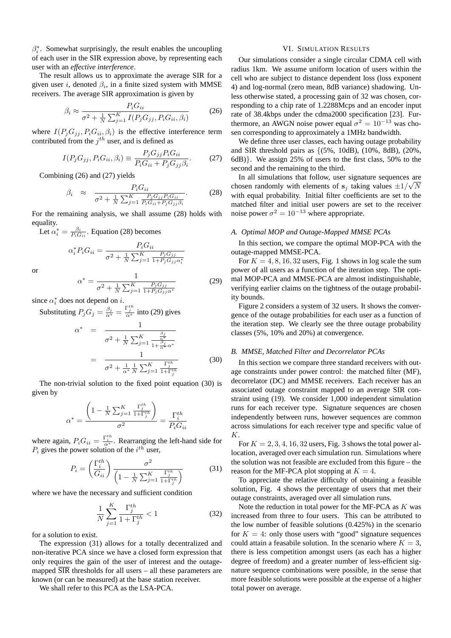$\beta_i^*$ . Somewhat surprisingly, the result enables the uncoupling of each user in the SIR expression above, by representing each user with an *effective interference*.

The result allows us to approximate the average SIR for a given user i, denoted  $\beta_i$ , in a finite sized system with MMSE receivers. The average SIR approximation is given by

$$
\beta_i \approx \frac{P_i G_{ii}}{\sigma^2 + \frac{1}{N} \sum_{j=1}^K I(P_j G_{jj}, P_i G_{ii}, \beta_i)}
$$
(26)

where  $I(P_j G_{jj}, P_i G_{ii}, \beta_i)$  is the effective interference term contributed from the  $j<sup>th</sup>$  user, and is defined as

$$
I(P_j G_{jj}, P_i G_{ii}, \beta_i) \equiv \frac{P_j G_{jj} P_i G_{ii}}{P_i G_{ii} + P_j G_{jj} \beta_i}.
$$
 (27)

Combining (26) and (27) yields

$$
\beta_i \approx \frac{P_i G_{ii}}{\sigma^2 + \frac{1}{N} \sum_{j=1}^K \frac{P_j G_{jj} P_i G_{ii}}{P_i G_{ii} + P_j G_{jj} \beta_i}}.
$$
(28)

For the remaining analysis, we shall assume (28) holds with equality.

Let  $\alpha_i^* = \frac{\beta_i}{P_i G_{ii}}$ . Equation (28) becomes

$$
\alpha_i^* P_i G_{ii} = \frac{P_i G_{ii}}{\sigma^2 + \frac{1}{N} \sum_{j=1}^K \frac{P_j G_{jj}}{1 + P_j G_{jj} \alpha_i^*}}
$$

or

$$
\alpha^* = \frac{1}{\sigma^2 + \frac{1}{N} \sum_{j=1}^K \frac{P_j G_{jj}}{1 + P_j G_{jj} \alpha^*}}
$$
(29)

since  $\alpha_i^*$  does not depend on *i*.

Substituting 
$$
P_j G_j = \frac{\beta_j}{\alpha^*} = \frac{\Gamma_j^{th}}{\alpha^*}
$$
 into (29) gives  
\n
$$
\alpha^* = \frac{1}{\sigma^2 + \frac{1}{N} \sum_{j=1}^K \frac{\frac{\beta_j}{\alpha^*}}{1 + \frac{\beta_j}{\alpha^*} \alpha^*}}
$$
\n
$$
= \frac{1}{\sigma^2 + \frac{1}{\alpha^*} \frac{1}{N} \sum_{j=1}^K \frac{\Gamma_j^{th}}{1 + \Gamma_j^{th}}} \qquad (30)
$$

The non-trivial solution to the fixed point equation (30) is given by

$$
\alpha^* = \frac{\left(1 - \frac{1}{N} \sum_{j=1}^K \frac{\Gamma_j^{th}}{1 + \Gamma_j^{th}}\right)}{\sigma^2} = \frac{\Gamma_i^{th}}{P_i G_{ii}}
$$

where again,  $P_i G_{ii} = \frac{\Gamma_i^{th}}{\alpha^*}$ . Rearranging the left-hand side for  $P_i$  gives the power solution of the  $i^{th}$  user,

$$
P_i = \left(\frac{\Gamma_i^{th}}{G_{ii}}\right) \frac{\sigma^2}{\left(1 - \frac{1}{N} \sum_{j=1}^K \frac{\Gamma_j^{th}}{1 + \Gamma_j^{th}}\right)}
$$
(31)

where we have the necessary and sufficient condition

$$
\frac{1}{N} \sum_{j=1}^{K} \frac{\Gamma_j^{th}}{1 + \Gamma_j^{th}} < 1 \tag{32}
$$

for a solution to exist.

The expression (31) allows for a totally decentralized and non-iterative PCA since we have a closed form expression that only requires the gain of the user of interest and the outagemapped  $\overline{SIR}$  thresholds for all users – all these parameters are known (or can be measured) at the base station receiver.

We shall refer to this PCA as the LSA-PCA.

#### VI. SIMULATION RESULTS

Our simulations consider a single circular CDMA cell with radius 1km. We assume uniform location of users within the cell who are subject to distance dependent loss (loss exponent 4) and log-normal (zero mean, 8dB variance) shadowing. Unless otherwise stated, a processing gain of 32 was chosen, corresponding to a chip rate of 1.2288Mcps and an encoder input rate of 38.4kbps under the cdma2000 specification [23]. Furthermore, an AWGN noise power equal  $\sigma^2 = 10^{-13}$  was chosen corresponding to approximately a 1MHz bandwidth.

We define three user classes, each having outage probability and SIR threshold pairs as  $\{(5\%, 10dB), (10\%, 8dB), (20\%,$ 6dB)}. We assign 25% of users to the first class, 50% to the second and the remaining to the third.

In all simulations that follow, user signature sequences are √ chosen randomly with elements of  $s_j$  taking values  $\pm 1/\sqrt{N}$ with equal probability. Initial filter coefficients are set to the matched filter and initial user powers are set to the receiver noise power  $\sigma^2 = 10^{-13}$  where appropriate.

#### *A. Optimal MOP and Outage-Mapped MMSE PCAs*

In this section, we compare the optimal MOP-PCA with the outage-mapped MMSE-PCA.

For  $K = 4, 8, 16, 32$  users, Fig. 1 shows in log scale the sum power of all users as a function of the iteration step. The optimal MOP-PCA and MMSE-PCA are almost indistinguishable, verifying earlier claims on the tightness of the outage probability bounds.

Figure 2 considers a system of 32 users. It shows the convergence of the outage probabilities for each user as a function of the iteration step. We clearly see the three outage probability classes (5%, 10% and 20%) at convergence.

#### *B. MMSE, Matched Filter and Decorrelator PCAs*

In this section we compare three standard receivers with outage constraints under power control: the matched filter (MF), decorrelator (DC) and MMSE receivers. Each receiver has an associated outage constraint mapped to an average SIR constraint using (19). We consider 1,000 independent simulation runs for each receiver type. Signature sequences are chosen independently between runs, however sequences are common across simulations for each receiver type and specific value of K.

For  $K = 2, 3, 4, 16, 32$  users, Fig. 3 shows the total power allocation, averaged over each simulation run. Simulations where the solution was not feasible are excluded from this figure – the reason for the MF-PCA plot stopping at  $K = 4$ .

To appreciate the relative difficulty of obtaining a feasible solution, Fig. 4 shows the percentage of users that met their outage constraints, averaged over all simulation runs.

Note the reduction in total power for the MF-PCA as  $K$  was increased from three to four users. This can be attributed to the low number of feasible solutions (0.425%) in the scenario for  $K = 4$ : only those users with "good" signature sequences could attain a feasabile solution. In the scenario where  $K = 3$ , there is less competition amongst users (as each has a higher degree of freedom) and a greater number of less-efficient signature sequence combinations were possible, in the sense that more feasible solutions were possible at the expense of a higher total power on average.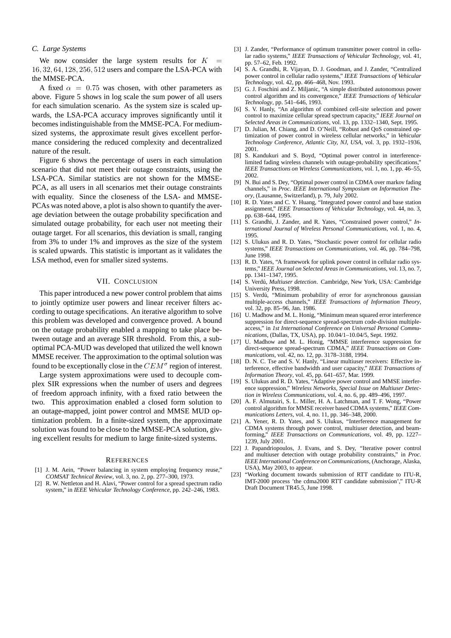#### *C. Large Systems*

We now consider the large system results for  $K$ 16, 32, 64, 128, 256, 512 users and compare the LSA-PCA with the MMSE-PCA.

A fixed  $\alpha = 0.75$  was chosen, with other parameters as above. Figure 5 shows in log scale the sum power of all users for each simulation scenario. As the system size is scaled upwards, the LSA-PCA accuracy improves significantly until it becomes indistinguishable from the MMSE-PCA. For mediumsized systems, the approximate result gives excellent performance considering the reduced complexity and decentralized nature of the result.

Figure 6 shows the percentage of users in each simulation scenario that did not meet their outage constraints, using the LSA-PCA. Similar statistics are not shown for the MMSE-PCA, as all users in all scenarios met their outage constraints with equality. Since the closeness of the LSA- and MMSE-PCAs was noted above, a plot is also shown to quantify the average deviation between the outage probability specification and simulated outage probability, for each user not meeting their outage target. For all scenarios, this deviation is small, ranging from 3% to under 1% and improves as the size of the system is scaled upwards. This statistic is important as it validates the LSA method, even for smaller sized systems.

#### VII. CONCLUSION

This paper introduced a new power control problem that aims to jointly optimize user powers and linear receiver filters according to outage specifications. An iterative algorithm to solve this problem was developed and convergence proved. A bound on the outage probability enabled a mapping to take place between outage and an average SIR threshold. From this, a suboptimal PCA-MUD was developed that utilized the well known MMSE receiver. The approximation to the optimal solution was found to be exceptionally close in the  $CEM^{\sigma}$  region of interest.

Large system approximations were used to decouple complex SIR expressions when the number of users and degrees of freedom approach infinity, with a fixed ratio between the two. This approximation enabled a closed form solution to an outage-mapped, joint power control and MMSE MUD optimization problem. In a finite-sized system, the approximate solution was found to be close to the MMSE-PCA solution, giving excellent results for medium to large finite-sized systems.

#### **REFERENCES**

- [1] J. M. Aein, "Power balancing in system employing frequency reuse," *COMSAT Technical Review*, vol. 3, no. 2, pp. 277–300, 1973.
- [2] R. W. Nettleton and H. Alavi, "Power control for a spread spectrum radio system," in *IEEE Vehicular Technology Conference*, pp. 242–246, 1983.
- [3] J. Zander, "Performance of optimum transmitter power control in cellular radio systems," *IEEE Transactions of Vehicular Technology*, vol. 41, pp. 57–62, Feb. 1992.
- [4] S. A. Grandhi, R. Vijayan, D. J. Goodman, and J. Zander, "Centralized power control in cellular radio systems," *IEEE Transactions of Vehicular Technology*, vol. 42, pp. 466–468, Nov. 1993.
- [5] G. J. Foschini and Z. Miljanic, "A simple distributed autonomous power control algorithm and its convergence," *IEEE Transactions of Vehicular Technology*, pp. 541–646, 1993.
- [6] S. V. Hanly, "An algorithm of combined cell-site selection and power control to maximize cellular spread spectrum capacity," *IEEE Journal on Selected Areas in Communications*, vol. 13, pp. 1332–1340, Sept. 1995.
- [7] D. Julian, M. Chiang, and D. O'Neill, "Robust and QoS constrained optimization of power control in wireless cellular networks," in *Vehicular Technology Conference, Atlantic City, NJ, USA*, vol. 3, pp. 1932–1936, 2001.
- [8] S. Kandukuri and S. Boyd, "Optimal power control in interferencelimited fading wireless channels with outage-probability specifications," *IEEE Transactions on Wireless Communications*, vol. 1, no. 1, pp. 46–55, 2002.
- [9] N. Bui and S. Dey, "Optimal power control in CDMA over markov fading channels," in *Proc. IEEE International Symposium on Information Theory*, (Lausanne, Switzerland), p. 79, July 2002.
- [10] R. D. Yates and C. Y. Huang, "Integrated power control and base station assignment," *IEEE Transactions of Vehicular Technology*, vol. 44, no. 3, pp. 638–644, 1995.
- [11] S. Grandhi, J. Zander, and R. Yates, "Constrained power control," *International Journal of Wireless Personal Communications*, vol. 1, no. 4, 1995.
- [12] S. Ulukus and R. D. Yates, "Stochastic power control for cellular radio systems," *IEEE Transactions on Communications*, vol. 46, pp. 784–798, June 1998.
- [13] R. D. Yates, "A framework for uplink power control in cellular radio systems," *IEEE Journal on Selected Areas in Communications*, vol. 13, no. 7, pp. 1341–1347, 1995.
- [14] S. Verdú, *Multiuser detection*. Cambridge, New York, USA: Cambridge University Press, 1998.
- [15] S. Verdú, "Minimum probability of error for asynchronous gaussian multiple-access channels," *IEEE Transactions of Information Theory*, vol. 32, pp. 85–96, Jan. 1986.
- [16] U. Madhow and M. L. Honig, "Minimum mean squared error interference suppression for direct-sequence spread-spectrum code-division multipleaccess," in *1st International Conference on Universal Personal Communications*, (Dallas, TX, USA), pp. 10.04/1–10.04/5, Sept. 1992.
- [17] U. Madhow and M. L. Honig, "MMSE interference suppression for direct-sequence spread-spectrum CDMA," *IEEE Transactions on Communications*, vol. 42, no. 12, pp. 3178–3188, 1994.
- [18] D. N. C. Tse and S. V. Hanly, "Linear multiuser receivers: Effective interference, effective bandwidth and user capacity," *IEEE Transactions of Information Theory*, vol. 45, pp. 641–657, Mar. 1999.
- [19] S. Ulukus and R. D. Yates, "Adaptive power control and MMSE interference suppression," *Wireless Networks, Special Issue on Multiuser Detection in Wireless Communications*, vol. 4, no. 6, pp. 489–496, 1997.
- [20] A. F. Almutairi, S. L. Miller, H. A. Latchman, and T. F. Wong, "Power control algorithm for MMSE receiver based CDMA systems," *IEEE Communications Letters*, vol. 4, no. 11, pp. 346–348, 2000.
- [21] A. Yener, R. D. Yates, and S. Ulukus, "Interference management for CDMA systems through power control, multiuser detection, and beamforming," *IEEE Transactions on Communications*, vol. 49, pp. 1227– 1239, July 2001.
- [22] J. Papandriopoulos, J. Evans, and S. Dey, "Iterative power control and multiuser detection with outage probability constraints," in *Proc. IEEE International Conference on Communications*, (Anchorage, Alaska, USA), May 2003, to appear.
- [23] "Working document towards submission of RTT candidate to ITU-R. IMT-2000 process 'the cdma2000 RTT candidate submission'," ITU-R Draft Document TR45.5, June 1998.